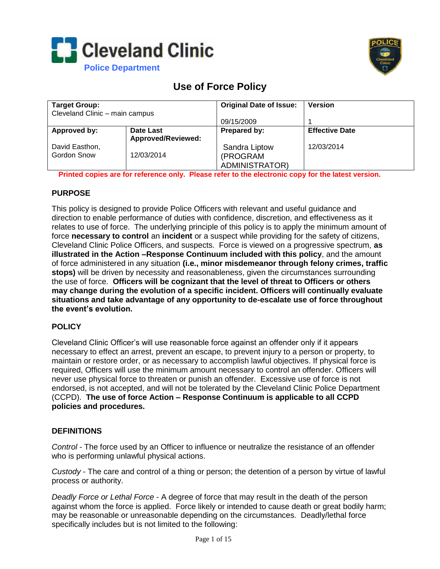



# **Use of Force Policy**

| <b>Target Group:</b>           |                           | <b>Original Date of Issue:</b> | <b>Version</b>        |
|--------------------------------|---------------------------|--------------------------------|-----------------------|
| Cleveland Clinic - main campus |                           |                                |                       |
|                                |                           | 09/15/2009                     |                       |
| Approved by:                   | Date Last                 | Prepared by:                   | <b>Effective Date</b> |
|                                | <b>Approved/Reviewed:</b> |                                |                       |
| David Easthon,                 |                           | Sandra Liptow                  | 12/03/2014            |
| Gordon Snow                    | 12/03/2014                | (PROGRAM                       |                       |
|                                |                           | <b>ADMINISTRATOR)</b>          |                       |

**Printed copies are for reference only. Please refer to the electronic copy for the latest version.**

## **PURPOSE**

This policy is designed to provide Police Officers with relevant and useful guidance and direction to enable performance of duties with confidence, discretion, and effectiveness as it relates to use of force. The underlying principle of this policy is to apply the minimum amount of force **necessary to control** an **incident** or a suspect while providing for the safety of citizens, Cleveland Clinic Police Officers, and suspects. Force is viewed on a progressive spectrum, **as illustrated in the Action –Response Continuum included with this policy**, and the amount of force administered in any situation **(i.e., minor misdemeanor through felony crimes, traffic stops)** will be driven by necessity and reasonableness, given the circumstances surrounding the use of force. **Officers will be cognizant that the level of threat to Officers or others may change during the evolution of a specific incident. Officers will continually evaluate situations and take advantage of any opportunity to de-escalate use of force throughout the event's evolution.** 

### **POLICY**

Cleveland Clinic Officer's will use reasonable force against an offender only if it appears necessary to effect an arrest, prevent an escape, to prevent injury to a person or property, to maintain or restore order, or as necessary to accomplish lawful objectives. If physical force is required, Officers will use the minimum amount necessary to control an offender. Officers will never use physical force to threaten or punish an offender. Excessive use of force is not endorsed, is not accepted, and will not be tolerated by the Cleveland Clinic Police Department (CCPD). **The use of force Action – Response Continuum is applicable to all CCPD policies and procedures.**

### **DEFINITIONS**

*Control* - The force used by an Officer to influence or neutralize the resistance of an offender who is performing unlawful physical actions.

*Custody* - The care and control of a thing or person; the detention of a person by virtue of lawful process or authority.

*Deadly Force or Lethal Force* - A degree of force that may result in the death of the person against whom the force is applied. Force likely or intended to cause death or great bodily harm; may be reasonable or unreasonable depending on the circumstances. Deadly/lethal force specifically includes but is not limited to the following: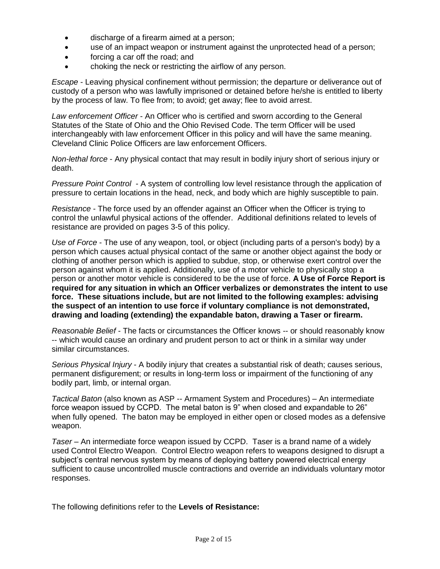- discharge of a firearm aimed at a person;
- use of an impact weapon or instrument against the unprotected head of a person;
- forcing a car off the road; and
- choking the neck or restricting the airflow of any person.

*Escape* - Leaving physical confinement without permission; the departure or deliverance out of custody of a person who was lawfully imprisoned or detained before he/she is entitled to liberty by the process of law. To flee from; to avoid; get away; flee to avoid arrest.

*Law enforcement Officer* - An Officer who is certified and sworn according to the General Statutes of the State of Ohio and the Ohio Revised Code. The term Officer will be used interchangeably with law enforcement Officer in this policy and will have the same meaning. Cleveland Clinic Police Officers are law enforcement Officers.

*Non-lethal force* - Any physical contact that may result in bodily injury short of serious injury or death.

*Pressure Point Control* - A system of controlling low level resistance through the application of pressure to certain locations in the head, neck, and body which are highly susceptible to pain.

*Resistance* - The force used by an offender against an Officer when the Officer is trying to control the unlawful physical actions of the offender. Additional definitions related to levels of resistance are provided on pages 3-5 of this policy.

*Use of Force* - The use of any weapon, tool, or object (including parts of a person's body) by a person which causes actual physical contact of the same or another object against the body or clothing of another person which is applied to subdue, stop, or otherwise exert control over the person against whom it is applied. Additionally, use of a motor vehicle to physically stop a person or another motor vehicle is considered to be the use of force. **A Use of Force Report is required for any situation in which an Officer verbalizes or demonstrates the intent to use force. These situations include, but are not limited to the following examples: advising the suspect of an intention to use force if voluntary compliance is not demonstrated, drawing and loading (extending) the expandable baton, drawing a Taser or firearm.**

*Reasonable Belief* - The facts or circumstances the Officer knows -- or should reasonably know -- which would cause an ordinary and prudent person to act or think in a similar way under similar circumstances.

*Serious Physical Injury* - A bodily injury that creates a substantial risk of death; causes serious, permanent disfigurement; or results in long-term loss or impairment of the functioning of any bodily part, limb, or internal organ.

*Tactical Baton* (also known as ASP -- Armament System and Procedures) – An intermediate force weapon issued by CCPD. The metal baton is 9" when closed and expandable to 26" when fully opened. The baton may be employed in either open or closed modes as a defensive weapon.

*Taser* – An intermediate force weapon issued by CCPD. Taser is a brand name of a widely used Control Electro Weapon. Control Electro weapon refers to weapons designed to disrupt a subject's central nervous system by means of deploying battery powered electrical energy sufficient to cause uncontrolled muscle contractions and override an individuals voluntary motor responses.

The following definitions refer to the **Levels of Resistance:**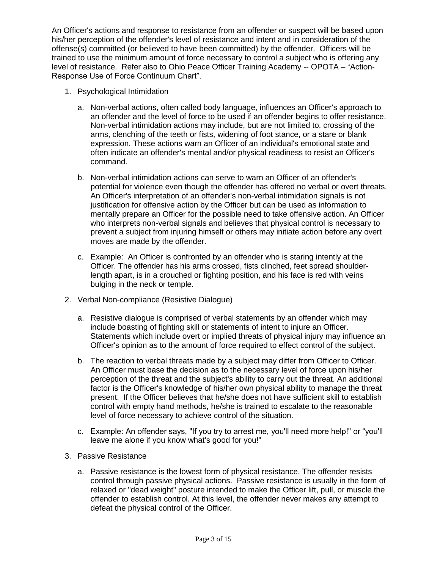An Officer's actions and response to resistance from an offender or suspect will be based upon his/her perception of the offender's level of resistance and intent and in consideration of the offense(s) committed (or believed to have been committed) by the offender. Officers will be trained to use the minimum amount of force necessary to control a subject who is offering any level of resistance. Refer also to Ohio Peace Officer Training Academy -- OPOTA – "Action-Response Use of Force Continuum Chart".

- 1. Psychological Intimidation
	- a. Non-verbal actions, often called body language, influences an Officer's approach to an offender and the level of force to be used if an offender begins to offer resistance. Non-verbal intimidation actions may include, but are not limited to, crossing of the arms, clenching of the teeth or fists, widening of foot stance, or a stare or blank expression. These actions warn an Officer of an individual's emotional state and often indicate an offender's mental and/or physical readiness to resist an Officer's command.
	- b. Non-verbal intimidation actions can serve to warn an Officer of an offender's potential for violence even though the offender has offered no verbal or overt threats. An Officer's interpretation of an offender's non-verbal intimidation signals is not justification for offensive action by the Officer but can be used as information to mentally prepare an Officer for the possible need to take offensive action. An Officer who interprets non-verbal signals and believes that physical control is necessary to prevent a subject from injuring himself or others may initiate action before any overt moves are made by the offender.
	- c. Example: An Officer is confronted by an offender who is staring intently at the Officer. The offender has his arms crossed, fists clinched, feet spread shoulderlength apart, is in a crouched or fighting position, and his face is red with veins bulging in the neck or temple.
- 2. Verbal Non-compliance (Resistive Dialogue)
	- a. Resistive dialogue is comprised of verbal statements by an offender which may include boasting of fighting skill or statements of intent to injure an Officer. Statements which include overt or implied threats of physical injury may influence an Officer's opinion as to the amount of force required to effect control of the subject.
	- b. The reaction to verbal threats made by a subject may differ from Officer to Officer. An Officer must base the decision as to the necessary level of force upon his/her perception of the threat and the subject's ability to carry out the threat. An additional factor is the Officer's knowledge of his/her own physical ability to manage the threat present. If the Officer believes that he/she does not have sufficient skill to establish control with empty hand methods, he/she is trained to escalate to the reasonable level of force necessary to achieve control of the situation.
	- c. Example: An offender says, "If you try to arrest me, you'll need more help!" or "you'll leave me alone if you know what's good for you!"
- 3. Passive Resistance
	- a. Passive resistance is the lowest form of physical resistance. The offender resists control through passive physical actions. Passive resistance is usually in the form of relaxed or "dead weight" posture intended to make the Officer lift, pull, or muscle the offender to establish control. At this level, the offender never makes any attempt to defeat the physical control of the Officer.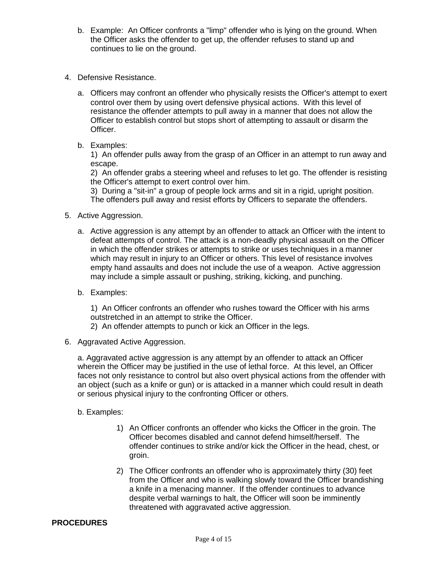- b. Example: An Officer confronts a "limp" offender who is lying on the ground. When the Officer asks the offender to get up, the offender refuses to stand up and continues to lie on the ground.
- 4. Defensive Resistance.
	- a. Officers may confront an offender who physically resists the Officer's attempt to exert control over them by using overt defensive physical actions. With this level of resistance the offender attempts to pull away in a manner that does not allow the Officer to establish control but stops short of attempting to assault or disarm the Officer.
	- b. Examples:

1) An offender pulls away from the grasp of an Officer in an attempt to run away and escape.

2) An offender grabs a steering wheel and refuses to let go. The offender is resisting the Officer's attempt to exert control over him.

3) During a "sit-in" a group of people lock arms and sit in a rigid, upright position. The offenders pull away and resist efforts by Officers to separate the offenders.

- 5. Active Aggression.
	- a. Active aggression is any attempt by an offender to attack an Officer with the intent to defeat attempts of control. The attack is a non-deadly physical assault on the Officer in which the offender strikes or attempts to strike or uses techniques in a manner which may result in injury to an Officer or others. This level of resistance involves empty hand assaults and does not include the use of a weapon. Active aggression may include a simple assault or pushing, striking, kicking, and punching.
	- b. Examples:

1) An Officer confronts an offender who rushes toward the Officer with his arms outstretched in an attempt to strike the Officer.

- 2) An offender attempts to punch or kick an Officer in the legs.
- 6. Aggravated Active Aggression.

a. Aggravated active aggression is any attempt by an offender to attack an Officer wherein the Officer may be justified in the use of lethal force. At this level, an Officer faces not only resistance to control but also overt physical actions from the offender with an object (such as a knife or gun) or is attacked in a manner which could result in death or serious physical injury to the confronting Officer or others.

- b. Examples:
	- 1) An Officer confronts an offender who kicks the Officer in the groin. The Officer becomes disabled and cannot defend himself/herself. The offender continues to strike and/or kick the Officer in the head, chest, or groin.
	- 2) The Officer confronts an offender who is approximately thirty (30) feet from the Officer and who is walking slowly toward the Officer brandishing a knife in a menacing manner. If the offender continues to advance despite verbal warnings to halt, the Officer will soon be imminently threatened with aggravated active aggression.

#### **PROCEDURES**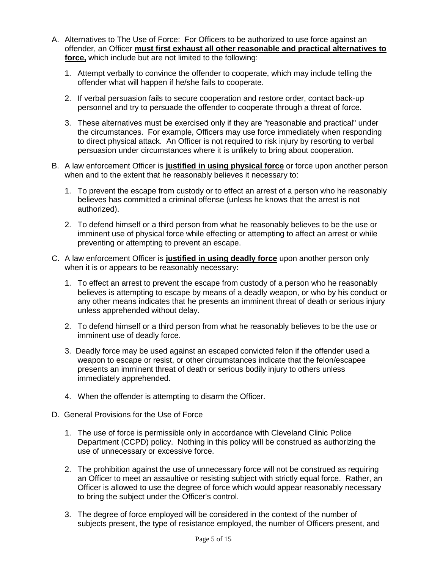- A. Alternatives to The Use of Force: For Officers to be authorized to use force against an offender, an Officer **must first exhaust all other reasonable and practical alternatives to force,** which include but are not limited to the following:
	- 1. Attempt verbally to convince the offender to cooperate, which may include telling the offender what will happen if he/she fails to cooperate.
	- 2. If verbal persuasion fails to secure cooperation and restore order, contact back-up personnel and try to persuade the offender to cooperate through a threat of force.
	- 3. These alternatives must be exercised only if they are "reasonable and practical" under the circumstances. For example, Officers may use force immediately when responding to direct physical attack. An Officer is not required to risk injury by resorting to verbal persuasion under circumstances where it is unlikely to bring about cooperation.
- B. A law enforcement Officer is **justified in using physical force** or force upon another person when and to the extent that he reasonably believes it necessary to:
	- 1. To prevent the escape from custody or to effect an arrest of a person who he reasonably believes has committed a criminal offense (unless he knows that the arrest is not authorized).
	- 2. To defend himself or a third person from what he reasonably believes to be the use or imminent use of physical force while effecting or attempting to affect an arrest or while preventing or attempting to prevent an escape.
- C. A law enforcement Officer is **justified in using deadly force** upon another person only when it is or appears to be reasonably necessary:
	- 1. To effect an arrest to prevent the escape from custody of a person who he reasonably believes is attempting to escape by means of a deadly weapon, or who by his conduct or any other means indicates that he presents an imminent threat of death or serious injury unless apprehended without delay.
	- 2. To defend himself or a third person from what he reasonably believes to be the use or imminent use of deadly force.
	- 3. Deadly force may be used against an escaped convicted felon if the offender used a weapon to escape or resist, or other circumstances indicate that the felon/escapee presents an imminent threat of death or serious bodily injury to others unless immediately apprehended.
	- 4. When the offender is attempting to disarm the Officer.
- D. General Provisions for the Use of Force
	- 1. The use of force is permissible only in accordance with Cleveland Clinic Police Department (CCPD) policy. Nothing in this policy will be construed as authorizing the use of unnecessary or excessive force.
	- 2. The prohibition against the use of unnecessary force will not be construed as requiring an Officer to meet an assaultive or resisting subject with strictly equal force. Rather, an Officer is allowed to use the degree of force which would appear reasonably necessary to bring the subject under the Officer's control.
	- 3. The degree of force employed will be considered in the context of the number of subjects present, the type of resistance employed, the number of Officers present, and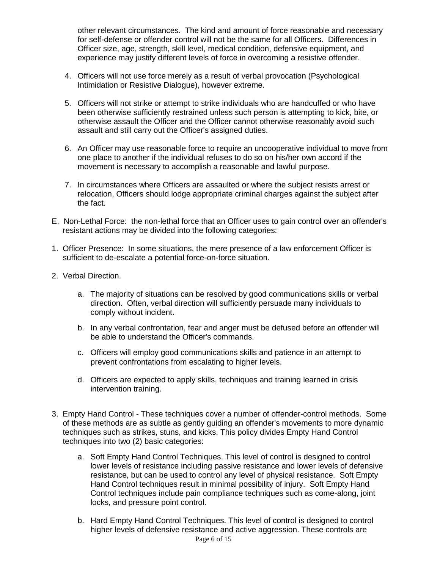other relevant circumstances. The kind and amount of force reasonable and necessary for self-defense or offender control will not be the same for all Officers. Differences in Officer size, age, strength, skill level, medical condition, defensive equipment, and experience may justify different levels of force in overcoming a resistive offender.

- 4. Officers will not use force merely as a result of verbal provocation (Psychological Intimidation or Resistive Dialogue), however extreme.
- 5. Officers will not strike or attempt to strike individuals who are handcuffed or who have been otherwise sufficiently restrained unless such person is attempting to kick, bite, or otherwise assault the Officer and the Officer cannot otherwise reasonably avoid such assault and still carry out the Officer's assigned duties.
- 6. An Officer may use reasonable force to require an uncooperative individual to move from one place to another if the individual refuses to do so on his/her own accord if the movement is necessary to accomplish a reasonable and lawful purpose.
- 7. In circumstances where Officers are assaulted or where the subject resists arrest or relocation, Officers should lodge appropriate criminal charges against the subject after the fact.
- E. Non-Lethal Force: the non-lethal force that an Officer uses to gain control over an offender's resistant actions may be divided into the following categories:
- 1. Officer Presence: In some situations, the mere presence of a law enforcement Officer is sufficient to de-escalate a potential force-on-force situation.
- 2. Verbal Direction.
	- a. The majority of situations can be resolved by good communications skills or verbal direction. Often, verbal direction will sufficiently persuade many individuals to comply without incident.
	- b. In any verbal confrontation, fear and anger must be defused before an offender will be able to understand the Officer's commands.
	- c. Officers will employ good communications skills and patience in an attempt to prevent confrontations from escalating to higher levels.
	- d. Officers are expected to apply skills, techniques and training learned in crisis intervention training.
- 3. Empty Hand Control These techniques cover a number of offender-control methods. Some of these methods are as subtle as gently guiding an offender's movements to more dynamic techniques such as strikes, stuns, and kicks. This policy divides Empty Hand Control techniques into two (2) basic categories:
	- a. Soft Empty Hand Control Techniques. This level of control is designed to control lower levels of resistance including passive resistance and lower levels of defensive resistance, but can be used to control any level of physical resistance. Soft Empty Hand Control techniques result in minimal possibility of injury. Soft Empty Hand Control techniques include pain compliance techniques such as come-along, joint locks, and pressure point control.
	- b. Hard Empty Hand Control Techniques. This level of control is designed to control higher levels of defensive resistance and active aggression. These controls are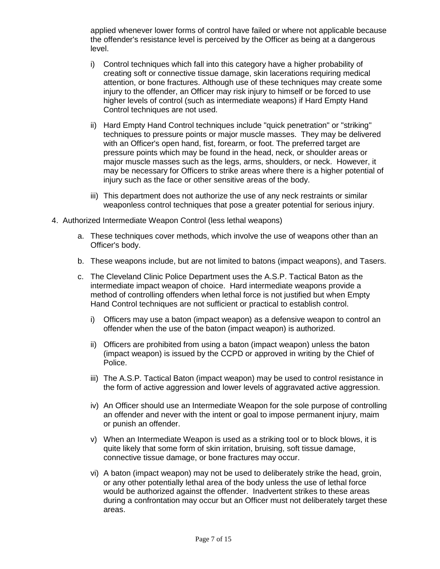applied whenever lower forms of control have failed or where not applicable because the offender's resistance level is perceived by the Officer as being at a dangerous level.

- i) Control techniques which fall into this category have a higher probability of creating soft or connective tissue damage, skin lacerations requiring medical attention, or bone fractures. Although use of these techniques may create some injury to the offender, an Officer may risk injury to himself or be forced to use higher levels of control (such as intermediate weapons) if Hard Empty Hand Control techniques are not used.
- ii) Hard Empty Hand Control techniques include "quick penetration" or "striking" techniques to pressure points or major muscle masses. They may be delivered with an Officer's open hand, fist, forearm, or foot. The preferred target are pressure points which may be found in the head, neck, or shoulder areas or major muscle masses such as the legs, arms, shoulders, or neck. However, it may be necessary for Officers to strike areas where there is a higher potential of injury such as the face or other sensitive areas of the body.
- iii) This department does not authorize the use of any neck restraints or similar weaponless control techniques that pose a greater potential for serious injury.
- 4. Authorized Intermediate Weapon Control (less lethal weapons)
	- a. These techniques cover methods, which involve the use of weapons other than an Officer's body.
	- b. These weapons include, but are not limited to batons (impact weapons), and Tasers.
	- c. The Cleveland Clinic Police Department uses the A.S.P. Tactical Baton as the intermediate impact weapon of choice. Hard intermediate weapons provide a method of controlling offenders when lethal force is not justified but when Empty Hand Control techniques are not sufficient or practical to establish control.
		- i) Officers may use a baton (impact weapon) as a defensive weapon to control an offender when the use of the baton (impact weapon) is authorized.
		- ii) Officers are prohibited from using a baton (impact weapon) unless the baton (impact weapon) is issued by the CCPD or approved in writing by the Chief of Police.
		- iii) The A.S.P. Tactical Baton (impact weapon) may be used to control resistance in the form of active aggression and lower levels of aggravated active aggression.
		- iv) An Officer should use an Intermediate Weapon for the sole purpose of controlling an offender and never with the intent or goal to impose permanent injury, maim or punish an offender.
		- v) When an Intermediate Weapon is used as a striking tool or to block blows, it is quite likely that some form of skin irritation, bruising, soft tissue damage, connective tissue damage, or bone fractures may occur.
		- vi) A baton (impact weapon) may not be used to deliberately strike the head, groin, or any other potentially lethal area of the body unless the use of lethal force would be authorized against the offender. Inadvertent strikes to these areas during a confrontation may occur but an Officer must not deliberately target these areas.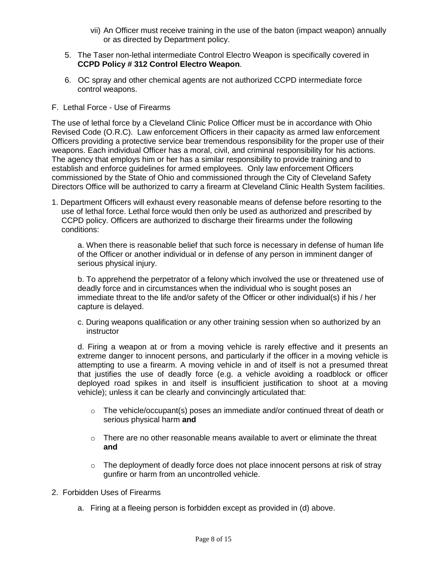- vii) An Officer must receive training in the use of the baton (impact weapon) annually or as directed by Department policy.
- 5. The Taser non-lethal intermediate Control Electro Weapon is specifically covered in **CCPD Policy # 312 Control Electro Weapon**.
- 6. OC spray and other chemical agents are not authorized CCPD intermediate force control weapons.
- F. Lethal Force Use of Firearms

The use of lethal force by a Cleveland Clinic Police Officer must be in accordance with Ohio Revised Code (O.R.C). Law enforcement Officers in their capacity as armed law enforcement Officers providing a protective service bear tremendous responsibility for the proper use of their weapons. Each individual Officer has a moral, civil, and criminal responsibility for his actions. The agency that employs him or her has a similar responsibility to provide training and to establish and enforce guidelines for armed employees. Only law enforcement Officers commissioned by the State of Ohio and commissioned through the City of Cleveland Safety Directors Office will be authorized to carry a firearm at Cleveland Clinic Health System facilities.

1. Department Officers will exhaust every reasonable means of defense before resorting to the use of lethal force. Lethal force would then only be used as authorized and prescribed by CCPD policy. Officers are authorized to discharge their firearms under the following conditions:

a. When there is reasonable belief that such force is necessary in defense of human life of the Officer or another individual or in defense of any person in imminent danger of serious physical injury.

b. To apprehend the perpetrator of a felony which involved the use or threatened use of deadly force and in circumstances when the individual who is sought poses an immediate threat to the life and/or safety of the Officer or other individual(s) if his / her capture is delayed.

c. During weapons qualification or any other training session when so authorized by an instructor

d. Firing a weapon at or from a moving vehicle is rarely effective and it presents an extreme danger to innocent persons, and particularly if the officer in a moving vehicle is attempting to use a firearm. A moving vehicle in and of itself is not a presumed threat that justifies the use of deadly force (e.g. a vehicle avoiding a roadblock or officer deployed road spikes in and itself is insufficient justification to shoot at a moving vehicle); unless it can be clearly and convincingly articulated that:

- o The vehicle/occupant(s) poses an immediate and/or continued threat of death or serious physical harm **and**
- $\circ$  There are no other reasonable means available to avert or eliminate the threat **and**
- $\circ$  The deployment of deadly force does not place innocent persons at risk of stray gunfire or harm from an uncontrolled vehicle.
- 2. Forbidden Uses of Firearms
	- a. Firing at a fleeing person is forbidden except as provided in (d) above.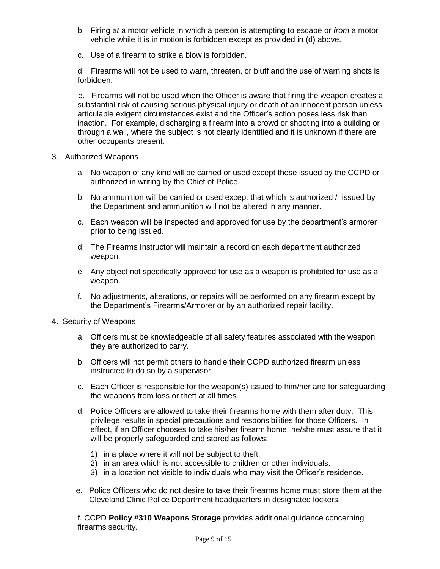- b. Firing *at* a motor vehicle in which a person is attempting to escape or *from* a motor vehicle while it is in motion is forbidden except as provided in (d) above.
- c. Use of a firearm to strike a blow is forbidden.

d. Firearms will not be used to warn, threaten, or bluff and the use of warning shots is forbidden.

 e. Firearms will not be used when the Officer is aware that firing the weapon creates a substantial risk of causing serious physical injury or death of an innocent person unless articulable exigent circumstances exist and the Officer's action poses less risk than inaction. For example, discharging a firearm into a crowd or shooting into a building or through a wall, where the subject is not clearly identified and it is unknown if there are other occupants present.

- 3. Authorized Weapons
	- a. No weapon of any kind will be carried or used except those issued by the CCPD or authorized in writing by the Chief of Police.
	- b. No ammunition will be carried or used except that which is authorized / issued by the Department and ammunition will not be altered in any manner.
	- c. Each weapon will be inspected and approved for use by the department's armorer prior to being issued.
	- d. The Firearms Instructor will maintain a record on each department authorized weapon.
	- e. Any object not specifically approved for use as a weapon is prohibited for use as a weapon.
	- f. No adjustments, alterations, or repairs will be performed on any firearm except by the Department's Firearms/Armorer or by an authorized repair facility.
- 4. Security of Weapons
	- a. Officers must be knowledgeable of all safety features associated with the weapon they are authorized to carry.
	- b. Officers will not permit others to handle their CCPD authorized firearm unless instructed to do so by a supervisor.
	- c. Each Officer is responsible for the weapon(s) issued to him/her and for safeguarding the weapons from loss or theft at all times.
	- d. Police Officers are allowed to take their firearms home with them after duty. This privilege results in special precautions and responsibilities for those Officers. In effect, if an Officer chooses to take his/her firearm home, he/she must assure that it will be properly safeguarded and stored as follows:
		- 1) in a place where it will not be subject to theft.
		- 2) in an area which is not accessible to children or other individuals.
		- 3) in a location not visible to individuals who may visit the Officer's residence.
	- e. Police Officers who do not desire to take their firearms home must store them at the Cleveland Clinic Police Department headquarters in designated lockers.

f. CCPD **Policy #310 Weapons Storage** provides additional guidance concerning firearms security.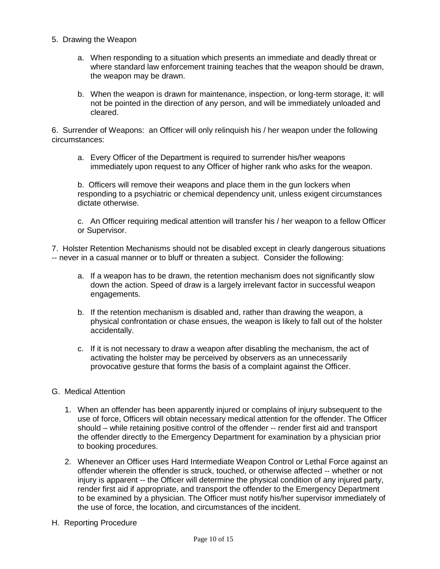- 5. Drawing the Weapon
	- a. When responding to a situation which presents an immediate and deadly threat or where standard law enforcement training teaches that the weapon should be drawn, the weapon may be drawn.
	- b. When the weapon is drawn for maintenance, inspection, or long-term storage, it: will not be pointed in the direction of any person, and will be immediately unloaded and cleared.

6. Surrender of Weapons: an Officer will only relinquish his / her weapon under the following circumstances:

a. Every Officer of the Department is required to surrender his/her weapons immediately upon request to any Officer of higher rank who asks for the weapon.

b. Officers will remove their weapons and place them in the gun lockers when responding to a psychiatric or chemical dependency unit, unless exigent circumstances dictate otherwise.

c. An Officer requiring medical attention will transfer his / her weapon to a fellow Officer or Supervisor.

7. Holster Retention Mechanisms should not be disabled except in clearly dangerous situations -- never in a casual manner or to bluff or threaten a subject. Consider the following:

- a. If a weapon has to be drawn, the retention mechanism does not significantly slow down the action. Speed of draw is a largely irrelevant factor in successful weapon engagements.
- b. If the retention mechanism is disabled and, rather than drawing the weapon, a physical confrontation or chase ensues, the weapon is likely to fall out of the holster accidentally.
- c. If it is not necessary to draw a weapon after disabling the mechanism, the act of activating the holster may be perceived by observers as an unnecessarily provocative gesture that forms the basis of a complaint against the Officer.
- G. Medical Attention
	- 1. When an offender has been apparently injured or complains of injury subsequent to the use of force, Officers will obtain necessary medical attention for the offender. The Officer should – while retaining positive control of the offender -- render first aid and transport the offender directly to the Emergency Department for examination by a physician prior to booking procedures.
	- 2. Whenever an Officer uses Hard Intermediate Weapon Control or Lethal Force against an offender wherein the offender is struck, touched, or otherwise affected -- whether or not injury is apparent -- the Officer will determine the physical condition of any injured party, render first aid if appropriate, and transport the offender to the Emergency Department to be examined by a physician. The Officer must notify his/her supervisor immediately of the use of force, the location, and circumstances of the incident.
- H. Reporting Procedure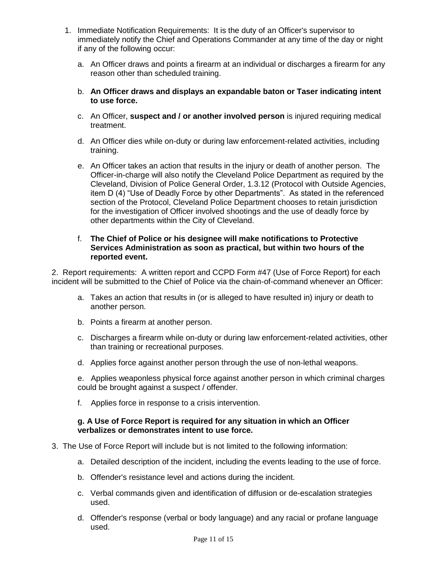- 1. Immediate Notification Requirements: It is the duty of an Officer's supervisor to immediately notify the Chief and Operations Commander at any time of the day or night if any of the following occur:
	- a. An Officer draws and points a firearm at an individual or discharges a firearm for any reason other than scheduled training.
	- b. **An Officer draws and displays an expandable baton or Taser indicating intent to use force.**
	- c. An Officer, **suspect and / or another involved person** is injured requiring medical treatment.
	- d. An Officer dies while on-duty or during law enforcement-related activities, including training.
	- e. An Officer takes an action that results in the injury or death of another person. The Officer-in-charge will also notify the Cleveland Police Department as required by the Cleveland, Division of Police General Order, 1.3.12 (Protocol with Outside Agencies, item D (4) "Use of Deadly Force by other Departments". As stated in the referenced section of the Protocol, Cleveland Police Department chooses to retain jurisdiction for the investigation of Officer involved shootings and the use of deadly force by other departments within the City of Cleveland.

#### f. **The Chief of Police or his designee will make notifications to Protective Services Administration as soon as practical, but within two hours of the reported event.**

2. Report requirements: A written report and CCPD Form #47 (Use of Force Report) for each incident will be submitted to the Chief of Police via the chain-of-command whenever an Officer:

- a. Takes an action that results in (or is alleged to have resulted in) injury or death to another person.
- b. Points a firearm at another person.
- c. Discharges a firearm while on-duty or during law enforcement-related activities, other than training or recreational purposes.
- d. Applies force against another person through the use of non-lethal weapons.

e. Applies weaponless physical force against another person in which criminal charges could be brought against a suspect / offender.

f. Applies force in response to a crisis intervention.

#### **g. A Use of Force Report is required for any situation in which an Officer verbalizes or demonstrates intent to use force.**

- 3. The Use of Force Report will include but is not limited to the following information:
	- a. Detailed description of the incident, including the events leading to the use of force.
	- b. Offender's resistance level and actions during the incident.
	- c. Verbal commands given and identification of diffusion or de-escalation strategies used.
	- d. Offender's response (verbal or body language) and any racial or profane language used.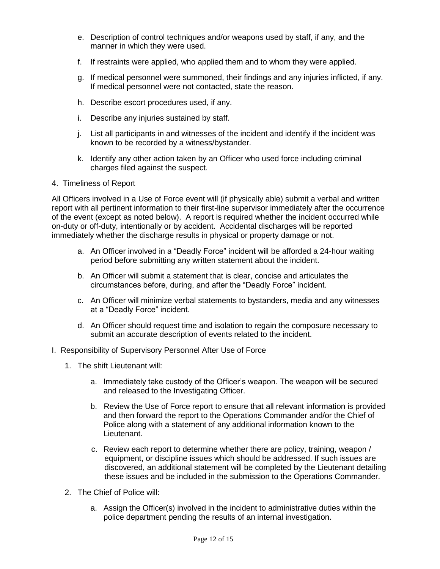- e. Description of control techniques and/or weapons used by staff, if any, and the manner in which they were used.
- f. If restraints were applied, who applied them and to whom they were applied.
- g. If medical personnel were summoned, their findings and any injuries inflicted, if any. If medical personnel were not contacted, state the reason.
- h. Describe escort procedures used, if any.
- i. Describe any injuries sustained by staff.
- j. List all participants in and witnesses of the incident and identify if the incident was known to be recorded by a witness/bystander.
- k. Identify any other action taken by an Officer who used force including criminal charges filed against the suspect.
- 4. Timeliness of Report

All Officers involved in a Use of Force event will (if physically able) submit a verbal and written report with all pertinent information to their first-line supervisor immediately after the occurrence of the event (except as noted below). A report is required whether the incident occurred while on-duty or off-duty, intentionally or by accident. Accidental discharges will be reported immediately whether the discharge results in physical or property damage or not.

- a. An Officer involved in a "Deadly Force" incident will be afforded a 24-hour waiting period before submitting any written statement about the incident.
- b. An Officer will submit a statement that is clear, concise and articulates the circumstances before, during, and after the "Deadly Force" incident.
- c. An Officer will minimize verbal statements to bystanders, media and any witnesses at a "Deadly Force" incident.
- d. An Officer should request time and isolation to regain the composure necessary to submit an accurate description of events related to the incident.
- I. Responsibility of Supervisory Personnel After Use of Force
	- 1. The shift Lieutenant will:
		- a. Immediately take custody of the Officer's weapon. The weapon will be secured and released to the Investigating Officer.
		- b. Review the Use of Force report to ensure that all relevant information is provided and then forward the report to the Operations Commander and/or the Chief of Police along with a statement of any additional information known to the Lieutenant.
		- c. Review each report to determine whether there are policy, training, weapon / equipment, or discipline issues which should be addressed. If such issues are discovered, an additional statement will be completed by the Lieutenant detailing these issues and be included in the submission to the Operations Commander.
	- 2. The Chief of Police will:
		- a. Assign the Officer(s) involved in the incident to administrative duties within the police department pending the results of an internal investigation.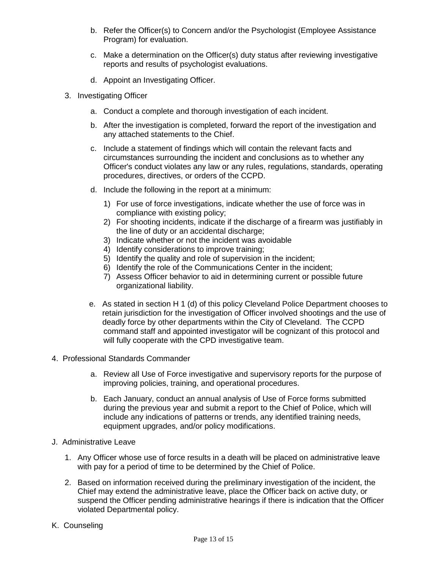- b. Refer the Officer(s) to Concern and/or the Psychologist (Employee Assistance Program) for evaluation.
- c. Make a determination on the Officer(s) duty status after reviewing investigative reports and results of psychologist evaluations.
- d. Appoint an Investigating Officer.
- 3. Investigating Officer
	- a. Conduct a complete and thorough investigation of each incident.
	- b. After the investigation is completed, forward the report of the investigation and any attached statements to the Chief.
	- c. Include a statement of findings which will contain the relevant facts and circumstances surrounding the incident and conclusions as to whether any Officer's conduct violates any law or any rules, regulations, standards, operating procedures, directives, or orders of the CCPD.
	- d. Include the following in the report at a minimum:
		- 1) For use of force investigations, indicate whether the use of force was in compliance with existing policy;
		- 2) For shooting incidents, indicate if the discharge of a firearm was justifiably in the line of duty or an accidental discharge;
		- 3) Indicate whether or not the incident was avoidable
		- 4) Identify considerations to improve training;
		- 5) Identify the quality and role of supervision in the incident;
		- 6) Identify the role of the Communications Center in the incident;
		- 7) Assess Officer behavior to aid in determining current or possible future organizational liability.
	- e. As stated in section H 1 (d) of this policy Cleveland Police Department chooses to retain jurisdiction for the investigation of Officer involved shootings and the use of deadly force by other departments within the City of Cleveland. The CCPD command staff and appointed investigator will be cognizant of this protocol and will fully cooperate with the CPD investigative team.
- 4. Professional Standards Commander
	- a. Review all Use of Force investigative and supervisory reports for the purpose of improving policies, training, and operational procedures.
	- b. Each January, conduct an annual analysis of Use of Force forms submitted during the previous year and submit a report to the Chief of Police, which will include any indications of patterns or trends, any identified training needs, equipment upgrades, and/or policy modifications.
- J. Administrative Leave
	- 1. Any Officer whose use of force results in a death will be placed on administrative leave with pay for a period of time to be determined by the Chief of Police.
	- 2. Based on information received during the preliminary investigation of the incident, the Chief may extend the administrative leave, place the Officer back on active duty, or suspend the Officer pending administrative hearings if there is indication that the Officer violated Departmental policy.
- K. Counseling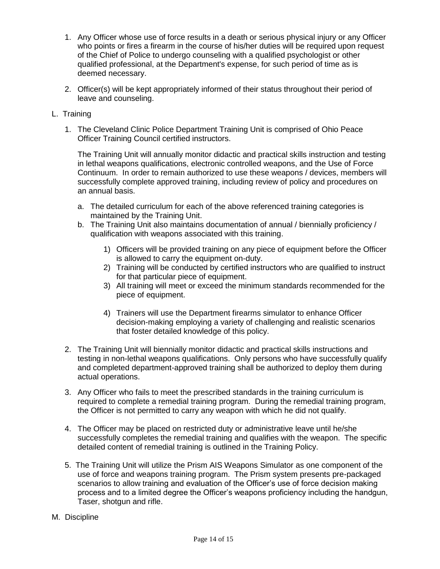- 1. Any Officer whose use of force results in a death or serious physical injury or any Officer who points or fires a firearm in the course of his/her duties will be required upon request of the Chief of Police to undergo counseling with a qualified psychologist or other qualified professional, at the Department's expense, for such period of time as is deemed necessary.
- 2. Officer(s) will be kept appropriately informed of their status throughout their period of leave and counseling.
- L. Training
	- 1. The Cleveland Clinic Police Department Training Unit is comprised of Ohio Peace Officer Training Council certified instructors.

The Training Unit will annually monitor didactic and practical skills instruction and testing in lethal weapons qualifications, electronic controlled weapons, and the Use of Force Continuum. In order to remain authorized to use these weapons / devices, members will successfully complete approved training, including review of policy and procedures on an annual basis.

- a. The detailed curriculum for each of the above referenced training categories is maintained by the Training Unit.
- b. The Training Unit also maintains documentation of annual / biennially proficiency / qualification with weapons associated with this training.
	- 1) Officers will be provided training on any piece of equipment before the Officer is allowed to carry the equipment on-duty.
	- 2) Training will be conducted by certified instructors who are qualified to instruct for that particular piece of equipment.
	- 3) All training will meet or exceed the minimum standards recommended for the piece of equipment.
	- 4) Trainers will use the Department firearms simulator to enhance Officer decision-making employing a variety of challenging and realistic scenarios that foster detailed knowledge of this policy.
- 2. The Training Unit will biennially monitor didactic and practical skills instructions and testing in non-lethal weapons qualifications. Only persons who have successfully qualify and completed department-approved training shall be authorized to deploy them during actual operations.
- 3. Any Officer who fails to meet the prescribed standards in the training curriculum is required to complete a remedial training program. During the remedial training program, the Officer is not permitted to carry any weapon with which he did not qualify.
- 4. The Officer may be placed on restricted duty or administrative leave until he/she successfully completes the remedial training and qualifies with the weapon. The specific detailed content of remedial training is outlined in the Training Policy.
- 5. The Training Unit will utilize the Prism AIS Weapons Simulator as one component of the use of force and weapons training program. The Prism system presents pre-packaged scenarios to allow training and evaluation of the Officer's use of force decision making process and to a limited degree the Officer's weapons proficiency including the handgun, Taser, shotgun and rifle.
- M. Discipline